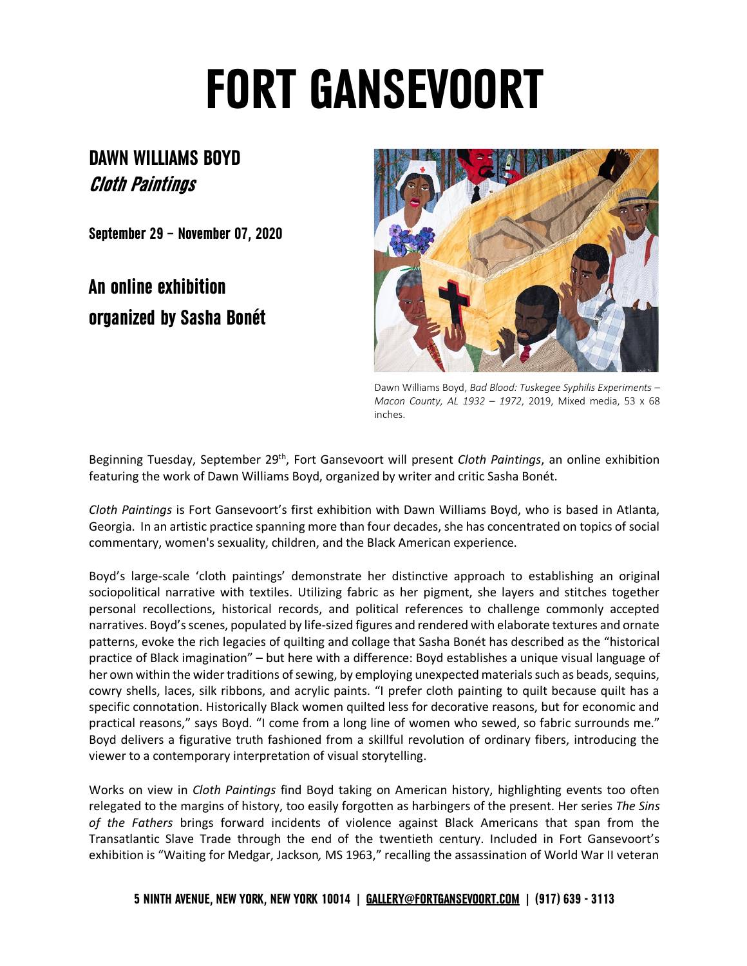## **FORT GANSEVOORT**

## **DAWN WILLIAMS BOYD Cloth Paintings**

**September 29 – November 07, 2020**

## **An online exhibition organized by Sasha Bonét**



Dawn Williams Boyd, *Bad Blood: Tuskegee Syphilis Experiments – Macon County, AL 1932 – 1972*, 2019, Mixed media, 53 x 68 inches.

Beginning Tuesday, September 29th, Fort Gansevoort will present *Cloth Paintings*, an online exhibition featuring the work of Dawn Williams Boyd, organized by writer and critic Sasha Bonét.

*Cloth Paintings* is Fort Gansevoort's first exhibition with Dawn Williams Boyd, who is based in Atlanta, Georgia. In an artistic practice spanning more than four decades, she has concentrated on topics of social commentary, women's sexuality, children, and the Black American experience.

Boyd's large-scale 'cloth paintings' demonstrate her distinctive approach to establishing an original sociopolitical narrative with textiles. Utilizing fabric as her pigment, she layers and stitches together personal recollections, historical records, and political references to challenge commonly accepted narratives. Boyd's scenes, populated by life-sized figures and rendered with elaborate textures and ornate patterns, evoke the rich legacies of quilting and collage that Sasha Bonét has described as the "historical practice of Black imagination" – but here with a difference: Boyd establishes a unique visual language of her own within the wider traditions of sewing, by employing unexpected materials such as beads, sequins, cowry shells, laces, silk ribbons, and acrylic paints. "I prefer cloth painting to quilt because quilt has a specific connotation. Historically Black women quilted less for decorative reasons, but for economic and practical reasons," says Boyd. "I come from a long line of women who sewed, so fabric surrounds me." Boyd delivers a figurative truth fashioned from a skillful revolution of ordinary fibers, introducing the viewer to a contemporary interpretation of visual storytelling.

Works on view in *Cloth Paintings* find Boyd taking on American history, highlighting events too often relegated to the margins of history, too easily forgotten as harbingers of the present. Her series *The Sins of the Fathers* brings forward incidents of violence against Black Americans that span from the Transatlantic Slave Trade through the end of the twentieth century. Included in Fort Gansevoort's exhibition is "Waiting for Medgar, Jackson*,* MS 1963," recalling the assassination of World War II veteran